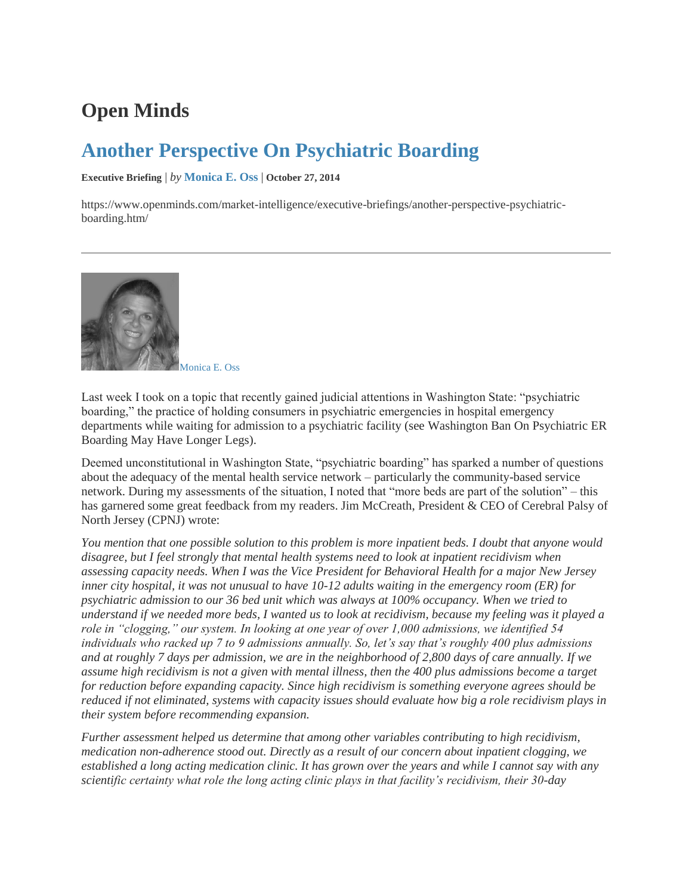## **Open Minds**

## **[Another Perspective On Psychiatric Boarding](https://www.openminds.com/market-intelligence/executive-briefings/another-perspective-psychiatric-boarding.htm/)**

**Executive Briefing** | *by* **[Monica E. Oss](https://www.openminds.com/author/monicaossopenminds-com/)** | **October 27, 2014**

https://www.openminds.com/market-intelligence/executive-briefings/another-perspective-psychiatricboarding.htm/



[Monica E. Oss](https://www.openminds.com/author/monicaossopenminds-com/)

Last week I took on a topic that recently gained judicial attentions in Washington State: "psychiatric boarding," the practice of holding consumers in psychiatric emergencies in hospital emergency departments while waiting for admission to a psychiatric facility (see [Washington Ban On Psychiatric ER](http://www.openminds.com/market-intelligence/executive-briefings/future-er-holds-patients-psychiatric-problems.htm)  [Boarding May Have Longer Legs\)](http://www.openminds.com/market-intelligence/executive-briefings/future-er-holds-patients-psychiatric-problems.htm).

Deemed unconstitutional in Washington State, "psychiatric boarding" has sparked a number of questions about the adequacy of the mental health service network – particularly the community-based service network. During my assessments of the situation, I noted that "more beds are part of the solution" – this has garnered some great feedback from my readers. Jim McCreath, President & CEO of Cerebral Palsy of North Jersey (CPNJ) wrote:

*You mention that one possible solution to this problem is more inpatient beds. I doubt that anyone would disagree, but I feel strongly that mental health systems need to look at inpatient recidivism when assessing capacity needs. When I was the Vice President for Behavioral Health for a major New Jersey inner city hospital, it was not unusual to have 10-12 adults waiting in the emergency room (ER) for psychiatric admission to our 36 bed unit which was always at 100% occupancy. When we tried to understand if we needed more beds, I wanted us to look at recidivism, because my feeling was it played a role in "clogging," our system. In looking at one year of over 1,000 admissions, we identified 54 individuals who racked up 7 to 9 admissions annually. So, let's say that's roughly 400 plus admissions and at roughly 7 days per admission, we are in the neighborhood of 2,800 days of care annually. If we assume high recidivism is not a given with mental illness, then the 400 plus admissions become a target for reduction before expanding capacity. Since high recidivism is something everyone agrees should be reduced if not eliminated, systems with capacity issues should evaluate how big a role recidivism plays in their system before recommending expansion.*

*Further assessment helped us determine that among other variables contributing to high recidivism, medication non-adherence stood out. Directly as a result of our concern about inpatient clogging, we established a long acting medication clinic. It has grown over the years and while I cannot say with any scientific certainty what role the long acting clinic plays in that facility's recidivism, their 30-day*